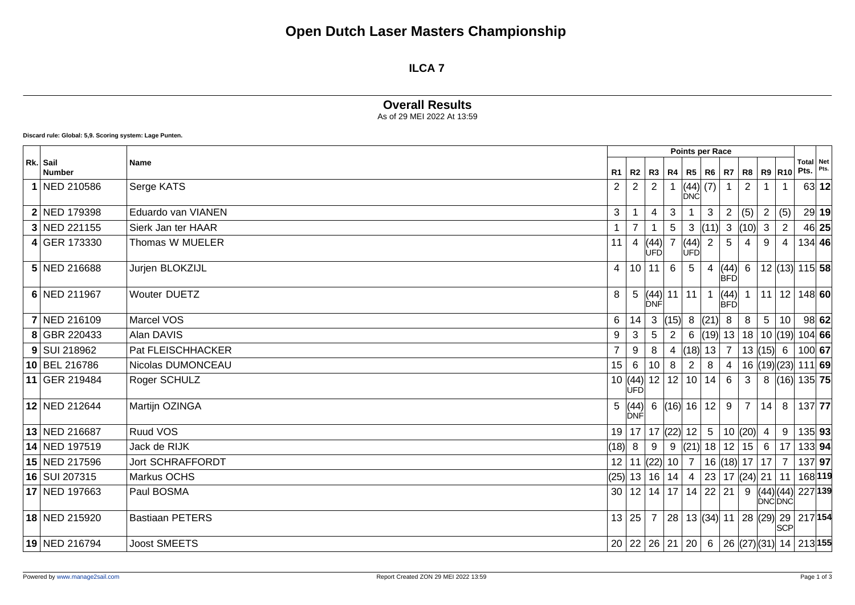## **Open Dutch Laser Masters Championship**

#### **ILCA 7**

### **Overall Results**

As of 29 MEI 2022 At 13:59

**Discard rule: Global: 5,9. Scoring system: Lage Punten.**

|                           |                         | Points per Race |                                     |                                                    |                                         |                 |                 |                    |                 |                                |                |                                                  |       |
|---------------------------|-------------------------|-----------------|-------------------------------------|----------------------------------------------------|-----------------------------------------|-----------------|-----------------|--------------------|-----------------|--------------------------------|----------------|--------------------------------------------------|-------|
| Rk. Sail<br><b>Number</b> | <b>Name</b>             | R1              | R <sub>2</sub>                      | R3                                                 | R4                                      |                 | R5 R6           | R7                 |                 | <b>R8 R9 R10</b>               |                | Total Net<br>Pts.                                | Pts.  |
| 1 NED 210586              | Serge KATS              | $\overline{2}$  | $\overline{2}$                      | $\overline{2}$                                     |                                         | ÍĎNĆÍ           | $ (44) $ (7)    |                    | $\overline{2}$  |                                |                |                                                  | 63 12 |
| 2 NED 179398              | Eduardo van VIANEN      | 3               |                                     | 4                                                  | 3                                       |                 | 3               | $\overline{2}$     | (5)             | $\overline{2}$                 | (5)            |                                                  | 29 19 |
| 3 NED 221155              | Sierk Jan ter HAAR      |                 |                                     |                                                    | 5                                       | 3               | (11)            | 3                  | (10)            | 3                              | 2              |                                                  | 46 25 |
| 4 GER 173330              | Thomas W MUELER         | 11              | $\overline{4}$                      | $\begin{vmatrix} (44) \\ \text{UFD} \end{vmatrix}$ | $\overline{7}$                          | (44)<br>lùFÓl   | $\overline{2}$  | 5                  | 4               | 9                              | 4              | $134$ 46                                         |       |
| 5 NED 216688              | Jurjen BLOKZIJL         | $\overline{4}$  |                                     | 10 11                                              | 6                                       | $5\phantom{.0}$ |                 | (44)<br><b>BFD</b> | $6\overline{6}$ |                                |                | $12$ (13) 115 58                                 |       |
| 6 NED 211967              | <b>Wouter DUETZ</b>     | 8               |                                     | DNF                                                | 5 (44)  11  11                          |                 |                 | (44)<br><b>BFD</b> |                 | 11                             |                | $12 148 $ 60                                     |       |
| 7 NED 216109              | Marcel VOS              | 6               | 14                                  | 3                                                  | (15)                                    |                 | 8  (21)         | 8                  | 8               | $5\phantom{.0}$                | 10             |                                                  | 98 62 |
| 8 GBR 220433              | Alan DAVIS              | 9               | 3                                   | $\overline{5}$                                     | $\overline{2}$                          | 6               |                 | (19) 13            |                 | 18   10   (19)                 |                | $104$ 66                                         |       |
| 9 SUI 218962              | Pat FLEISCHHACKER       | $\overline{7}$  | 9                                   | 8                                                  | 4                                       | (18)            | 13              | $\overline{7}$     |                 | 13  (15)   6                   |                | 100 67                                           |       |
| 10 BEL 216786             | Nicolas DUMONCEAU       | 15              | 6                                   | 10                                                 | 8                                       | $\overline{2}$  | 8               | 4                  |                 | 16  (19)(23)                   |                | 111 69                                           |       |
| 11 GER 219484             | Roger SCHULZ            |                 | 10 $ (44) $ 12   12  <br><b>ÚFD</b> |                                                    |                                         | 10 <sup>1</sup> | 14              | 6                  | 3               | 8                              |                | $\left  (16) \right  135$ 75                     |       |
| 12 NED 212644             | Martijn OZINGA          | 5 <sup>1</sup>  | (44)<br>DNF                         | 6                                                  | (16) 16                                 |                 | 12              | 9                  | 7 <sup>1</sup>  | 14                             | 8              | $137$ 77                                         |       |
| 13 NED 216687             | Ruud VOS                | 19 <sup>1</sup> |                                     |                                                    | $17$   $17$ (22)   $12$                 |                 | $5\phantom{.0}$ |                    | 10  (20)        | 4                              | 9              | 135 93                                           |       |
| 14 NED 197519             | Jack de RIJK            | (18)            | -8                                  | 9                                                  |                                         | 9  (21)         | 18 <sup>1</sup> |                    | $12$ 15 6       |                                | 17             | 133 94                                           |       |
| 15 NED 217596             | <b>Jort SCHRAFFORDT</b> | 12              | 11                                  |                                                    | $\left  (22) \right  10 \left  \right.$ | $\overline{7}$  |                 | $16$ (18) 17 17    |                 |                                | $\overline{7}$ | $137$ 97                                         |       |
| 16 SUI 207315             | Markus OCHS             | (25)            |                                     |                                                    | 13 16 14                                | $\overline{4}$  | 23              |                    |                 | 17 $(24)$ 21                   | 11             | 168 119                                          |       |
| 17 NED 197663             | Paul BOSMA              | 30 <sup>1</sup> |                                     |                                                    | $12$   14   17   14   22   21           |                 |                 |                    |                 | 9  (44) (44) <br><b>DNCDNC</b> |                | 227 139                                          |       |
| 18 NED 215920             | <b>Bastiaan PETERS</b>  |                 | 13 25                               | $\overline{7}$                                     |                                         |                 |                 |                    |                 |                                | <b>SCP</b>     | 28   13 $ (34) $ 11   28 $ (29) $ 29   217   154 |       |
| 19 NED 216794             | <b>Joost SMEETS</b>     |                 | 20   22   26   21   20              |                                                    |                                         |                 | 6               |                    |                 |                                |                | 26 (27) (31) 14 213 155                          |       |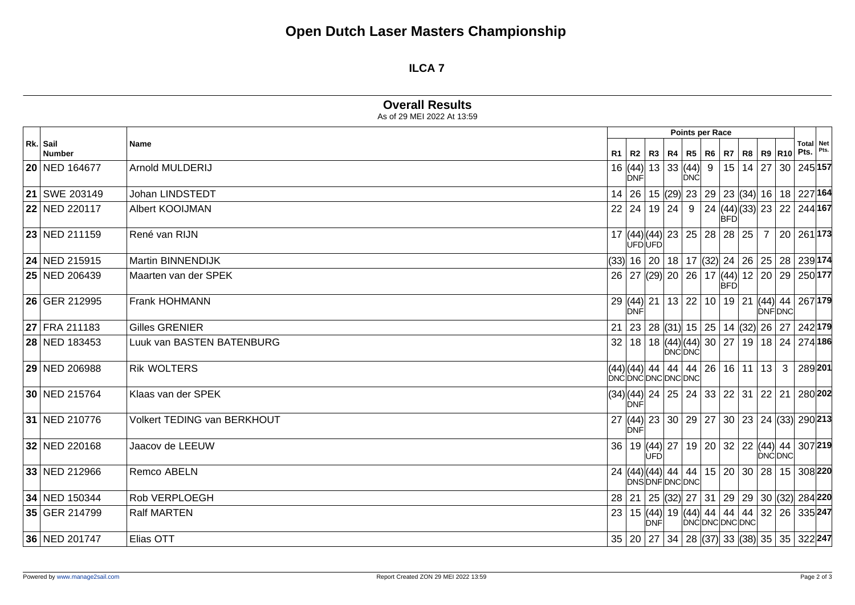# **Open Dutch Laser Masters Championship**

#### **ILCA 7**

|                           | <b>Overall Results</b><br>As of 29 MEI 2022 At 13:59 |    |                            |     |                     |                 |                              |                                                      |                  |                |   |      |                                                                                                                     |  |  |
|---------------------------|------------------------------------------------------|----|----------------------------|-----|---------------------|-----------------|------------------------------|------------------------------------------------------|------------------|----------------|---|------|---------------------------------------------------------------------------------------------------------------------|--|--|
|                           |                                                      |    |                            |     |                     |                 | Points per Race              |                                                      |                  |                |   |      |                                                                                                                     |  |  |
| Rk. Sail<br><b>Number</b> | <b>Name</b>                                          |    | R1   R2   R3               |     | R4                  |                 | <b>R5</b> R6                 | R7                                                   | <b>R8 R9 R10</b> |                |   | Pts. | Total Net                                                                                                           |  |  |
| 20 NED 164677             | Arnold MULDERIJ                                      |    | <b>DNF</b>                 |     |                     | DNĆ             | 16  (44)  13   33  (44)  9   |                                                      | 15 14 27         |                |   |      | 30 245 157                                                                                                          |  |  |
| 21   SWE 203149           | Johan LINDSTEDT                                      |    |                            |     |                     |                 |                              | 14 26 15 (29) 23 29 23 (34) 16 18 227 164            |                  |                |   |      |                                                                                                                     |  |  |
| 22 NED 220117             | Albert KOOIJMAN                                      |    |                            |     | $22$   24   19   24 |                 |                              | 9 24 $(44)(33)$ 23<br><b>BFD</b>                     |                  |                |   |      | $ 22 244 $ 167                                                                                                      |  |  |
| 23 NED 211159             | René van RIJN                                        |    | <b>DEÓDEÓ</b>              |     |                     |                 |                              | $17  (44) (44)  23   25   28   28   25  $            |                  | $\overline{7}$ |   |      | $20 261 $ 173                                                                                                       |  |  |
| 24 NED 215915             | Martin BINNENDIJK                                    |    |                            |     |                     |                 |                              | $(33)$   16   20   18   17 $ (32)$   24   26   25    |                  |                |   |      | 28 239 174                                                                                                          |  |  |
| 25 NED 206439             | Maarten van der SPEK                                 |    |                            |     |                     |                 |                              | 26   27   (29)   20   26   17   (44)  <br><b>BFD</b> |                  | 12 20          |   |      | 29 250 177                                                                                                          |  |  |
| 26 GER 212995             | Frank HOHMANN                                        |    | 29  (44)  21<br><b>DNF</b> |     |                     |                 | 13 22 10                     |                                                      |                  | <b>DNFDNC</b>  |   |      | 19 21 (44) 44 267 179                                                                                               |  |  |
| 27 FRA 211183             | <b>Gilles GRENIER</b>                                |    |                            |     |                     |                 | 21   23   28 $ (31)$ 15   25 |                                                      |                  |                |   |      | 14 (32) 26 27 242 179                                                                                               |  |  |
| 28 NED 183453             | Luuk van BASTEN BATENBURG                            |    |                            |     |                     |                 |                              |                                                      |                  |                |   |      | 32 18 18 (44) (44) 30 27 19 18 24 274 186                                                                           |  |  |
| 29 NED 206988             | <b>Rik WOLTERS</b>                                   |    | (44)(44) 44                |     | 44                  | DNCDNCDNCDNCDNC | 44 26                        |                                                      | $16$   11   13   |                | 3 |      | 289201                                                                                                              |  |  |
| 30 NED 215764             | Klaas van der SPEK                                   |    | <b>DNF</b>                 |     |                     |                 |                              |                                                      |                  |                |   |      | $\left (34) (44)\right 24\left \,25\,\right 24\left \,33\,\right 22\left \,31\,\right 22\left \,21\,\right 280$ 202 |  |  |
| 31 NED 210776             | <b>Volkert TEDING van BERKHOUT</b>                   |    | ∣ÒNFI                      |     |                     |                 |                              |                                                      |                  |                |   |      | 27 (44) 23 30 29 27 30 23 24 (33) 290 213                                                                           |  |  |
| 32 NED 220168             | Jaacov de LEEUW                                      | 36 |                            | ÙFD | 19 (44) 27          |                 | 19 20                        |                                                      |                  |                |   |      | $ 32 22 (44) 44 307 219$<br>DNC DNC                                                                                 |  |  |
| 33 NED 212966             | Remco ABELN                                          |    |                            |     |                     |                 |                              |                                                      |                  |                |   |      | 24 (44)(44) 44 44 15 20 30 28 15 308 220                                                                            |  |  |
| 34 NED 150344             | Rob VERPLOEGH                                        |    |                            |     |                     |                 |                              |                                                      |                  |                |   |      | 28   21   25   (32)   27   31   29   29   30   (32)   284   220                                                     |  |  |
| 35 GER 214799             | <b>Ralf MARTEN</b>                                   | 23 |                            |     |                     |                 |                              |                                                      |                  |                |   |      | 15 (44) 19 (44) 44 44 44 32 26 335 247<br>DNF DNC DNC DNC DNC DNC 2                                                 |  |  |
| 36 NED 201747             | Elias OTT                                            |    |                            |     |                     |                 |                              |                                                      |                  |                |   |      | 35 20 27 34 28 (37) 33 (38) 35 35 322 247                                                                           |  |  |